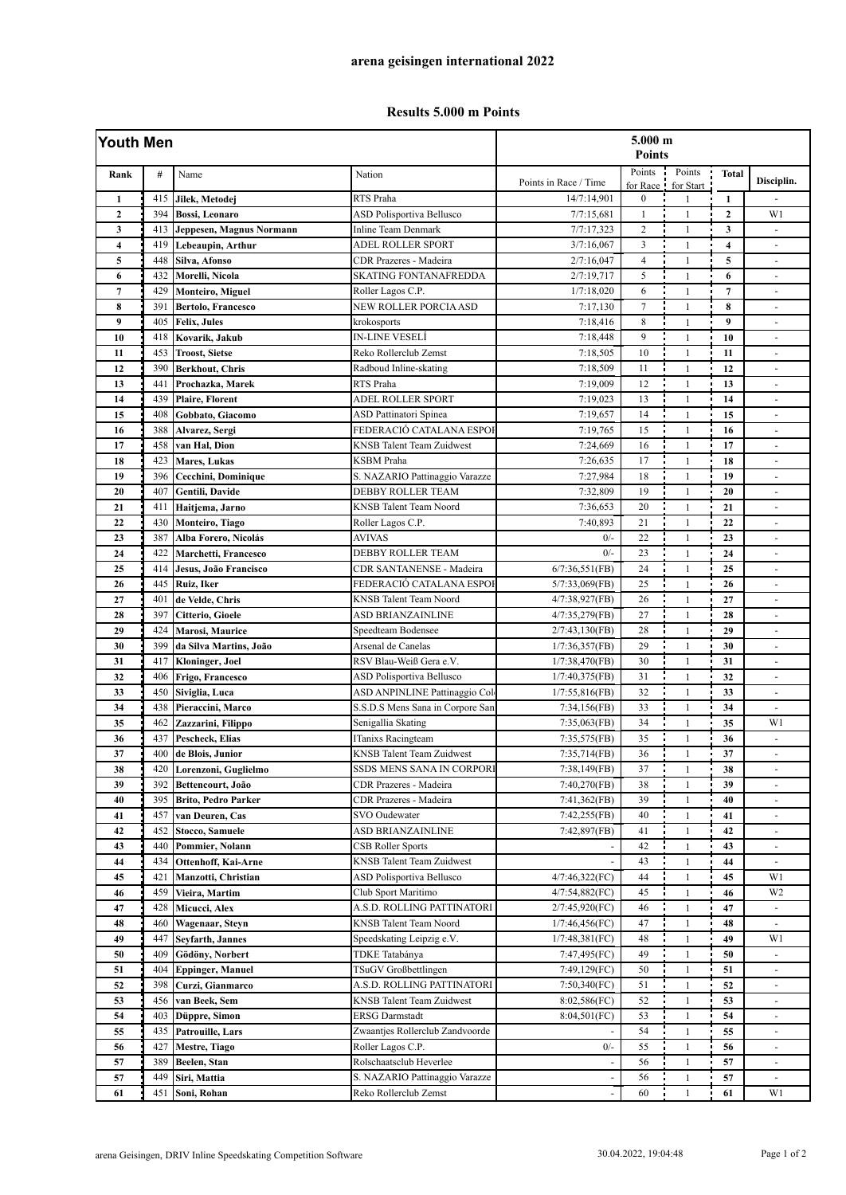## **Results 5.000 m Points**

| Youth Men               |     |                            |                                  | 5.000 m<br><b>Points</b> |                    |                     |                         |                          |
|-------------------------|-----|----------------------------|----------------------------------|--------------------------|--------------------|---------------------|-------------------------|--------------------------|
| Rank                    | #   | Name                       | Nation                           | Points in Race / Time    | Points<br>for Race | Points<br>for Start | <b>Total</b>            | Disciplin.               |
| $\mathbf{1}$            | 415 | Jilek, Metodej             | RTS Praha                        | 14/7:14,901              | $\boldsymbol{0}$   | $\mathbf{1}$        | $\mathbf{1}$            |                          |
| $\overline{2}$          | 394 | <b>Bossi</b> , Leonaro     | <b>ASD Polisportiva Bellusco</b> | 7/7:15,681               | $\mathbf{1}$       | $\mathbf{1}$        | $\mathbf{2}$            | W1                       |
| 3                       | 413 | Jeppesen, Magnus Normann   | <b>Inline Team Denmark</b>       | 7/7:17,323               | $\overline{c}$     | $\mathbf{1}$        | $\mathbf{3}$            | ÷,                       |
| $\overline{\mathbf{4}}$ | 419 | Lebeaupin, Arthur          | <b>ADEL ROLLER SPORT</b>         | 3/7:16,067               | 3                  | $\mathbf{1}$        | $\overline{\mathbf{4}}$ | ÷,                       |
| 5                       | 448 | Silva, Afonso              | CDR Prazeres - Madeira           | 2/7:16,047               | $\overline{4}$     | $\mathbf{1}$        | $\mathbf 5$             | $\blacksquare$           |
| 6                       | 432 | Morelli, Nicola            | <b>SKATING FONTANAFREDDA</b>     | 2/7:19,717               | 5                  | $\mathbf{1}$        | 6                       | $\sim$                   |
| $\overline{7}$          | 429 | Monteiro, Miguel           | Roller Lagos C.P.                | 1/7:18,020               | 6                  | $\mathbf{1}$        | $\overline{7}$          | ÷,                       |
| 8                       | 391 | <b>Bertolo, Francesco</b>  | NEW ROLLER PORCIA ASD            | 7:17,130                 | $\overline{7}$     | $\mathbf{1}$        | 8                       | $\overline{a}$           |
| 9                       | 405 | <b>Felix, Jules</b>        | krokosports                      | 7:18,416                 | 8                  | $\mathbf{1}$        | 9                       | $\overline{\phantom{a}}$ |
| 10                      | 418 | Kovarik, Jakub             | <b>IN-LINE VESELÍ</b>            | 7:18,448                 | 9                  | $\mathbf{1}$        | 10                      | $\sim$                   |
| 11                      | 453 | <b>Troost, Sietse</b>      | Reko Rollerclub Zemst            | 7:18,505                 | 10                 | $\mathbf{1}$        | 11                      | $\overline{\phantom{a}}$ |
| 12                      | 390 | <b>Berkhout, Chris</b>     | Radboud Inline-skating           | 7:18,509                 | 11                 | $\mathbf{1}$        | 12                      | ÷,                       |
| 13                      | 441 | Prochazka, Marek           | RTS Praha                        | 7:19,009                 | 12                 | $\mathbf{1}$        | 13                      | ÷,                       |
| 14                      | 439 | <b>Plaire, Florent</b>     | ADEL ROLLER SPORT                | 7:19,023                 | 13                 | $\mathbf{1}$        | 14                      | $\sim$                   |
| 15                      | 408 | Gobbato, Giacomo           | ASD Pattinatori Spinea           | 7:19,657                 | 14                 | $\mathbf{1}$        | 15                      | ä,                       |
| 16                      | 388 | Alvarez, Sergi             | FEDERACIÓ CATALANA ESPOI         | 7:19,765                 | 15                 | $\mathbf{1}$        | 16                      | $\overline{\phantom{a}}$ |
| 17                      | 458 | van Hal, Dion              | <b>KNSB</b> Talent Team Zuidwest | 7:24,669                 | 16                 | $\mathbf{1}$        | 17                      |                          |
| 18                      | 423 | <b>Mares, Lukas</b>        | <b>KSBM</b> Praha                | 7:26,635                 | 17                 | $\mathbf{1}$        | 18                      | $\blacksquare$           |
| 19                      | 396 | Cecchini, Dominique        | S. NAZARIO Pattinaggio Varazze   | 7:27,984                 | 18                 | $\mathbf{1}$        | 19                      | $\sim$                   |
| 20                      | 407 | Gentili, Davide            | <b>DEBBY ROLLER TEAM</b>         | 7:32.809                 | 19                 | $\mathbf{1}$        | 20                      | $\omega$                 |
| 21                      | 411 | Haitjema, Jarno            | <b>KNSB</b> Talent Team Noord    | 7:36,653                 | 20                 | $\mathbf{1}$        | 21                      | $\overline{\phantom{a}}$ |
| 22                      | 430 | Monteiro, Tiago            | Roller Lagos C.P.                | 7:40.893                 | 21                 | $\mathbf{1}$        | 22                      |                          |
| 23                      | 387 | Alba Forero, Nicolás       | <b>AVIVAS</b>                    | $0/-$                    | 22                 | $\mathbf{1}$        | 23                      | $\sim$                   |
| 24                      | 422 | Marchetti, Francesco       | DEBBY ROLLER TEAM                | $0/-$                    | 23                 | $\mathbf{1}$        | 24                      | ÷,                       |
| 25                      | 414 | Jesus, João Francisco      | CDR SANTANENSE - Madeira         | 6/7:36,551(FB)           | 24                 | $\mathbf{1}$        | 25                      | $\blacksquare$           |
| 26                      | 445 | Ruiz, Iker                 | FEDERACIÓ CATALANA ESPOI         | $5/7:33,069$ (FB)        | 25                 | $\mathbf{1}$        | 26                      | $\overline{\phantom{a}}$ |
| 27                      | 401 | de Velde, Chris            | <b>KNSB</b> Talent Team Noord    | 4/7:38,927(FB)           | 26                 | $\mathbf{1}$        | 27                      | $\sim$                   |
| 28                      | 397 | Citterio, Gioele           | ASD BRIANZAINLINE                | 4/7:35,279(FB)           | 27                 | $\mathbf{1}$        | 28                      | ÷,                       |
| 29                      | 424 | Marosi, Maurice            | Speedteam Bodensee               | 2/7:43,130(FB)           | 28                 | $\mathbf{1}$        | 29                      | $\overline{a}$           |
| 30                      | 399 | da Silva Martins, João     | Arsenal de Canelas               | 1/7:36,357(FB)           | 29                 | $\mathbf{1}$        | 30                      | $\overline{\phantom{a}}$ |
| 31                      | 417 | Kloninger, Joel            | RSV Blau-Weiß Gera e.V.          | 1/7:38,470(FB)           | 30                 | $\mathbf{1}$        | 31                      | $\blacksquare$           |
| 32                      | 406 | Frigo, Francesco           | ASD Polisportiva Bellusco        | 1/7:40,375(FB)           | 31                 | $\mathbf{1}$        | 32                      | $\overline{a}$           |
| 33                      | 450 | Siviglia, Luca             | ASD ANPINLINE Pattinaggio Col    | $1/7:55,816$ (FB)        | 32                 | $\mathbf{1}$        | 33                      | ÷,                       |
| 34                      | 438 | Pieraccini, Marco          | S.S.D.S Mens Sana in Corpore San | 7:34,156(FB)             | 33                 | $\mathbf{1}$        | 34                      | ÷,                       |
| 35                      | 462 | Zazzarini, Filippo         | Senigallia Skating               | 7:35,063(FB)             | 34                 | $\mathbf{1}$        | 35                      | W1                       |
| 36                      | 437 | Pescheck, Elias            | ITanixs Racingteam               | 7:35,575(FB)             | 35                 | $\mathbf{1}$        | 36                      | $\overline{\phantom{a}}$ |
| 37                      | 400 | de Blois, Junior           | <b>KNSB</b> Talent Team Zuidwest | 7:35,714(FB)             | 36                 | $\mathbf{1}$        | 37                      | $\overline{\phantom{a}}$ |
| 38                      | 420 | Lorenzoni, Guglielmo       | SSDS MENS SANA IN CORPORI        | 7:38,149(FB)             | 37                 | 1                   | 38                      |                          |
| 39                      | 392 | Bettencourt, João          | CDR Prazeres - Madeira           | 7:40,270(FB)             | 38                 | $\mathbf{1}$        | 39                      |                          |
| 40                      | 395 | <b>Brito, Pedro Parker</b> | CDR Prazeres - Madeira           | 7:41,362(FB)             | 39                 | 1                   | 40                      |                          |
| 41                      | 457 | van Deuren, Cas            | SVO Oudewater                    | 7:42,255(FB)             | 40                 | $\mathbf{1}$        | 41                      | $\overline{\phantom{a}}$ |
| 42                      | 452 | Stocco, Samuele            | ASD BRIANZAINLINE                | 7:42,897(FB)             | 41                 | 1                   | 42                      | $\blacksquare$           |
| 43                      | 440 | Pommier, Nolann            | CSB Roller Sports                |                          | 42                 | 1                   | 43                      |                          |
| 44                      | 434 | Ottenhoff, Kai-Arne        | <b>KNSB Talent Team Zuidwest</b> |                          | 43                 | 1                   | 44                      |                          |
| 45                      | 421 | Manzotti, Christian        | ASD Polisportiva Bellusco        | 4/7:46,322(FC)           | 44                 | 1                   | 45                      | W1                       |
| 46                      | 459 | Vieira, Martim             | Club Sport Maritimo              | 4/7:54,882(FC)           | 45                 | $\mathbf{1}$        | 46                      | W <sub>2</sub>           |
| 47                      | 428 | Micucci, Alex              | A.S.D. ROLLING PATTINATORI       | 2/7:45,920(FC)           | 46                 | 1                   | 47                      | $\overline{\phantom{a}}$ |
| 48                      | 460 | Wagenaar, Steyn            | KNSB Talent Team Noord           | 1/7:46,456(FC)           | 47                 | 1                   | 48                      |                          |
| 49                      | 447 | Seyfarth, Jannes           | Speedskating Leipzig e.V.        | 1/7:48,381(FC)           | 48                 | 1                   | 49                      | W1                       |
| 50                      | 409 | Gödöny, Norbert            | TDKE Tatabánya                   | 7:47,495(FC)             | 49                 | $\mathbf{1}$        | 50                      |                          |
| 51                      | 404 | <b>Eppinger, Manuel</b>    | TSuGV Großbettlingen             | 7:49,129(FC)             | 50                 | $\mathbf{1}$        | 51                      |                          |
| 52                      | 398 | Curzi, Gianmarco           | A.S.D. ROLLING PATTINATORI       | 7:50,340(FC)             | 51                 | 1                   | 52                      | $\blacksquare$           |
| 53                      | 456 | van Beek, Sem              | <b>KNSB Talent Team Zuidwest</b> | 8:02,586(FC)             | 52                 | $\mathbf{1}$        | 53                      | $\overline{\phantom{a}}$ |
| 54                      | 403 | Düppre, Simon              | <b>ERSG Darmstadt</b>            | 8:04,501(FC)             | 53                 | 1                   | 54                      | $\overline{\phantom{a}}$ |
| 55                      | 435 | Patrouille, Lars           | Zwaantjes Rollerclub Zandvoorde  |                          | 54                 | $\mathbf{1}$        | 55                      |                          |
| 56                      | 427 | Mestre, Tiago              | Roller Lagos C.P.                | $0/-$                    | 55                 | $\mathbf{1}$        | 56                      |                          |
| 57                      | 389 | Beelen, Stan               | Rolschaatsclub Heverlee          |                          | 56                 | 1                   | 57                      | $\blacksquare$           |
| 57                      | 449 | Siri, Mattia               | S. NAZARIO Pattinaggio Varazze   |                          | 56                 | $\mathbf{1}$        | 57                      | $\overline{\phantom{a}}$ |
| 61                      | 451 | Soni, Rohan                | Reko Rollerclub Zemst            | $\overline{a}$           | 60                 | $\mathbf{1}$        | 61                      | W1                       |